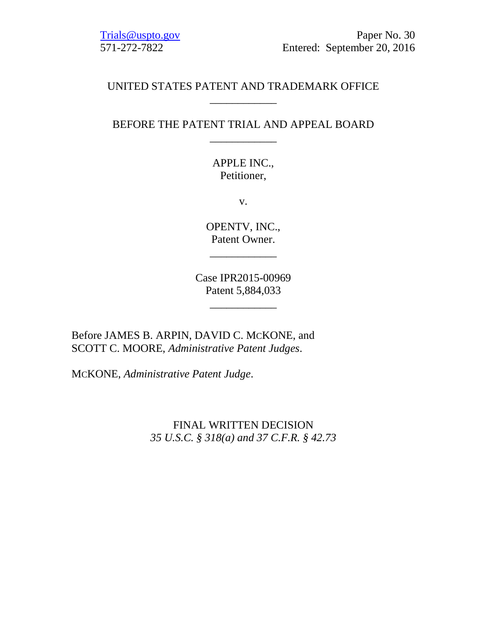[Trials@uspto.gov](mailto:Trials@uspto.gov) Paper No. 30 571-272-7822 Entered: September 20, 2016

# UNITED STATES PATENT AND TRADEMARK OFFICE \_\_\_\_\_\_\_\_\_\_\_\_

# BEFORE THE PATENT TRIAL AND APPEAL BOARD \_\_\_\_\_\_\_\_\_\_\_\_

APPLE INC., Petitioner,

v.

OPENTV, INC., Patent Owner.

\_\_\_\_\_\_\_\_\_\_\_\_

Case IPR2015-00969 Patent 5,884,033

\_\_\_\_\_\_\_\_\_\_\_\_

Before JAMES B. ARPIN, DAVID C. MCKONE, and SCOTT C. MOORE, *Administrative Patent Judges*.

MCKONE, *Administrative Patent Judge*.

FINAL WRITTEN DECISION *35 U.S.C. § 318(a) and 37 C.F.R. § 42.73*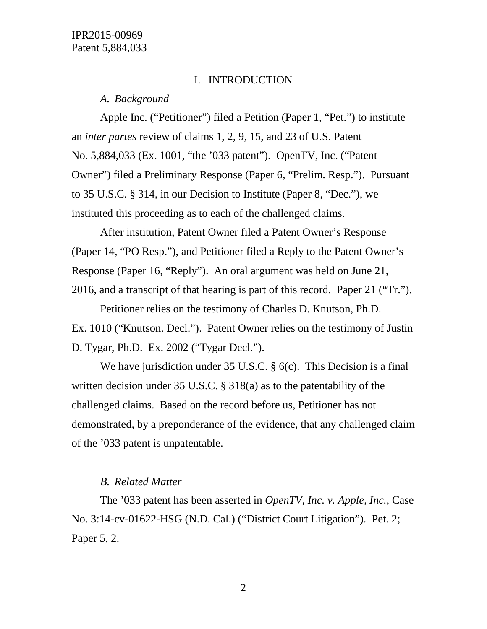#### I. INTRODUCTION

#### *A. Background*

Apple Inc. ("Petitioner") filed a Petition (Paper 1, "Pet.") to institute an *inter partes* review of claims 1, 2, 9, 15, and 23 of U.S. Patent No. 5,884,033 (Ex. 1001, "the '033 patent"). OpenTV, Inc. ("Patent Owner") filed a Preliminary Response (Paper 6, "Prelim. Resp."). Pursuant to 35 U.S.C. § 314, in our Decision to Institute (Paper 8, "Dec."), we instituted this proceeding as to each of the challenged claims.

After institution, Patent Owner filed a Patent Owner's Response (Paper 14, "PO Resp."), and Petitioner filed a Reply to the Patent Owner's Response (Paper 16, "Reply"). An oral argument was held on June 21, 2016, and a transcript of that hearing is part of this record. Paper 21 ("Tr.").

Petitioner relies on the testimony of Charles D. Knutson, Ph.D. Ex. 1010 ("Knutson. Decl."). Patent Owner relies on the testimony of Justin D. Tygar, Ph.D. Ex. 2002 ("Tygar Decl.").

We have jurisdiction under 35 U.S.C. § 6(c). This Decision is a final written decision under 35 U.S.C. § 318(a) as to the patentability of the challenged claims. Based on the record before us, Petitioner has not demonstrated, by a preponderance of the evidence, that any challenged claim of the '033 patent is unpatentable.

#### *B. Related Matter*

The '033 patent has been asserted in *OpenTV, Inc. v. Apple, Inc.*, Case No. 3:14-cv-01622-HSG (N.D. Cal.) ("District Court Litigation"). Pet. 2; Paper 5, 2.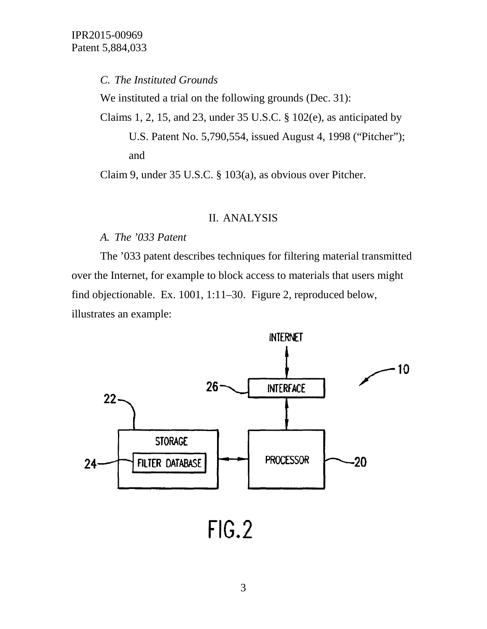# *C. The Instituted Grounds*

We instituted a trial on the following grounds (Dec. 31):

Claims 1, 2, 15, and 23, under 35 U.S.C. § 102(e), as anticipated by

U.S. Patent No. 5,790,554, issued August 4, 1998 ("Pitcher"); and

Claim 9, under 35 U.S.C. § 103(a), as obvious over Pitcher.

#### II. ANALYSIS

## *A. The '033 Patent*

The '033 patent describes techniques for filtering material transmitted over the Internet, for example to block access to materials that users might find objectionable. Ex. 1001, 1:11–30. Figure 2, reproduced below, illustrates an example:

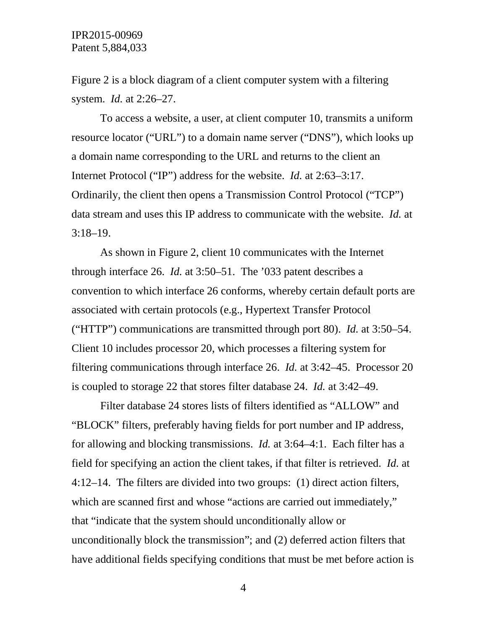Figure 2 is a block diagram of a client computer system with a filtering system. *Id.* at 2:26–27.

To access a website, a user, at client computer 10, transmits a uniform resource locator ("URL") to a domain name server ("DNS"), which looks up a domain name corresponding to the URL and returns to the client an Internet Protocol ("IP") address for the website. *Id.* at 2:63–3:17. Ordinarily, the client then opens a Transmission Control Protocol ("TCP") data stream and uses this IP address to communicate with the website. *Id.* at 3:18–19.

As shown in Figure 2, client 10 communicates with the Internet through interface 26. *Id.* at 3:50–51. The '033 patent describes a convention to which interface 26 conforms, whereby certain default ports are associated with certain protocols (e.g., Hypertext Transfer Protocol ("HTTP") communications are transmitted through port 80). *Id.* at 3:50–54. Client 10 includes processor 20, which processes a filtering system for filtering communications through interface 26. *Id.* at 3:42–45. Processor 20 is coupled to storage 22 that stores filter database 24. *Id.* at 3:42–49.

Filter database 24 stores lists of filters identified as "ALLOW" and "BLOCK" filters, preferably having fields for port number and IP address, for allowing and blocking transmissions. *Id.* at 3:64–4:1. Each filter has a field for specifying an action the client takes, if that filter is retrieved. *Id.* at 4:12–14. The filters are divided into two groups: (1) direct action filters, which are scanned first and whose "actions are carried out immediately," that "indicate that the system should unconditionally allow or unconditionally block the transmission"; and (2) deferred action filters that have additional fields specifying conditions that must be met before action is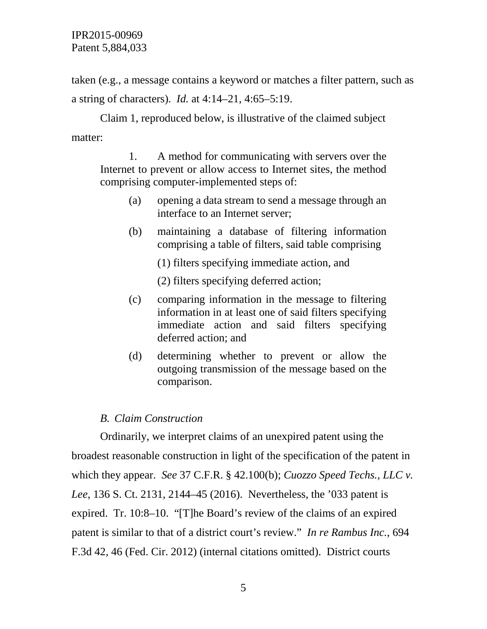taken (e.g., a message contains a keyword or matches a filter pattern, such as a string of characters). *Id.* at 4:14–21, 4:65–5:19.

Claim 1, reproduced below, is illustrative of the claimed subject matter:

1. A method for communicating with servers over the Internet to prevent or allow access to Internet sites, the method comprising computer-implemented steps of:

- (a) opening a data stream to send a message through an interface to an Internet server;
- (b) maintaining a database of filtering information comprising a table of filters, said table comprising

(1) filters specifying immediate action, and

(2) filters specifying deferred action;

- (c) comparing information in the message to filtering information in at least one of said filters specifying immediate action and said filters specifying deferred action; and
- (d) determining whether to prevent or allow the outgoing transmission of the message based on the comparison.

# *B. Claim Construction*

Ordinarily, we interpret claims of an unexpired patent using the broadest reasonable construction in light of the specification of the patent in which they appear. *See* 37 C.F.R. § 42.100(b); *Cuozzo Speed Techs., LLC v. Lee*, 136 S. Ct. 2131, 2144–45 (2016). Nevertheless, the '033 patent is expired. Tr. 10:8–10. "[T]he Board's review of the claims of an expired patent is similar to that of a district court's review." *In re Rambus Inc.*, 694 F.3d 42, 46 (Fed. Cir. 2012) (internal citations omitted). District courts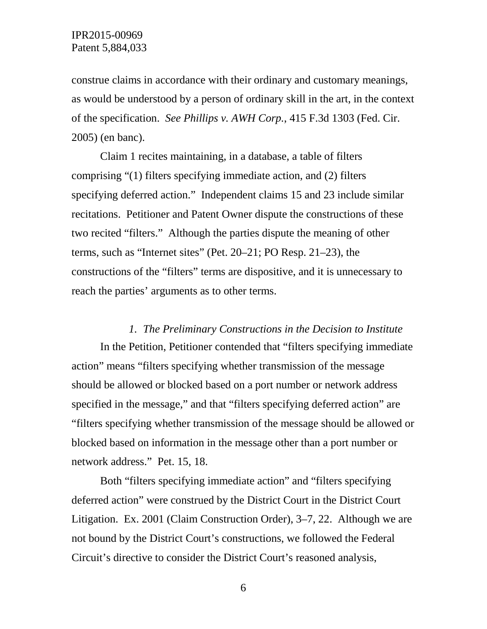construe claims in accordance with their ordinary and customary meanings, as would be understood by a person of ordinary skill in the art, in the context of the specification. *See Phillips v. AWH Corp.*, 415 F.3d 1303 (Fed. Cir. 2005) (en banc).

Claim 1 recites maintaining, in a database, a table of filters comprising "(1) filters specifying immediate action, and (2) filters specifying deferred action." Independent claims 15 and 23 include similar recitations. Petitioner and Patent Owner dispute the constructions of these two recited "filters." Although the parties dispute the meaning of other terms, such as "Internet sites" (Pet. 20–21; PO Resp. 21–23), the constructions of the "filters" terms are dispositive, and it is unnecessary to reach the parties' arguments as to other terms.

#### *1. The Preliminary Constructions in the Decision to Institute*

In the Petition, Petitioner contended that "filters specifying immediate action" means "filters specifying whether transmission of the message should be allowed or blocked based on a port number or network address specified in the message," and that "filters specifying deferred action" are "filters specifying whether transmission of the message should be allowed or blocked based on information in the message other than a port number or network address." Pet. 15, 18.

Both "filters specifying immediate action" and "filters specifying deferred action" were construed by the District Court in the District Court Litigation. Ex. 2001 (Claim Construction Order), 3–7, 22. Although we are not bound by the District Court's constructions, we followed the Federal Circuit's directive to consider the District Court's reasoned analysis,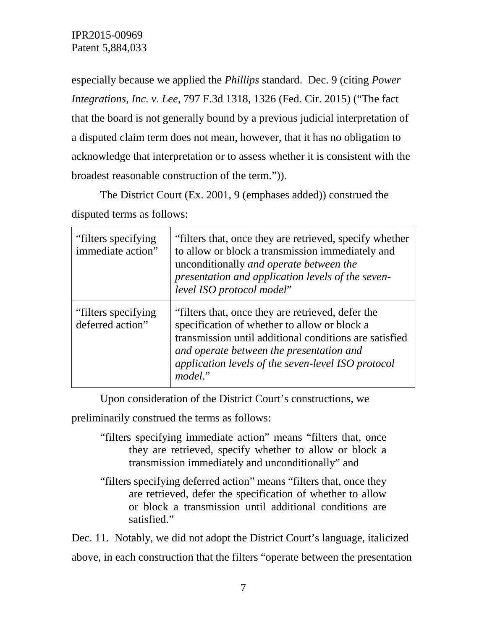especially because we applied the *Phillips* standard. Dec. 9 (citing *Power Integrations, Inc. v. Lee*, 797 F.3d 1318, 1326 (Fed. Cir. 2015) ("The fact that the board is not generally bound by a previous judicial interpretation of a disputed claim term does not mean, however, that it has no obligation to acknowledge that interpretation or to assess whether it is consistent with the broadest reasonable construction of the term.")).

The District Court (Ex. 2001, 9 (emphases added)) construed the disputed terms as follows:

| "filters specifying"<br>immediate action" | "filters that, once they are retrieved, specify whether<br>to allow or block a transmission immediately and<br>unconditionally and operate between the<br>presentation and application levels of the seven-<br>level ISO protocol model"                                 |
|-------------------------------------------|--------------------------------------------------------------------------------------------------------------------------------------------------------------------------------------------------------------------------------------------------------------------------|
| "filters specifying"<br>deferred action"  | "filters that, once they are retrieved, defer the<br>specification of whether to allow or block a<br>transmission until additional conditions are satisfied<br>and operate between the presentation and<br>application levels of the seven-level ISO protocol<br>model." |

Upon consideration of the District Court's constructions, we

preliminarily construed the terms as follows:

- "filters specifying immediate action" means "filters that, once they are retrieved, specify whether to allow or block a transmission immediately and unconditionally" and
- "filters specifying deferred action" means "filters that, once they are retrieved, defer the specification of whether to allow or block a transmission until additional conditions are satisfied."

Dec. 11. Notably, we did not adopt the District Court's language, italicized above, in each construction that the filters "operate between the presentation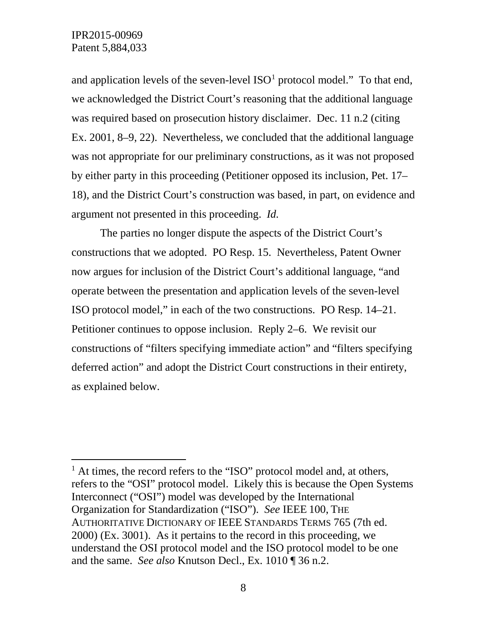and application levels of the seven-level  $ISO<sup>1</sup>$  $ISO<sup>1</sup>$  $ISO<sup>1</sup>$  protocol model." To that end, we acknowledged the District Court's reasoning that the additional language was required based on prosecution history disclaimer. Dec. 11 n.2 (citing Ex. 2001, 8–9, 22). Nevertheless, we concluded that the additional language was not appropriate for our preliminary constructions, as it was not proposed by either party in this proceeding (Petitioner opposed its inclusion, Pet. 17– 18), and the District Court's construction was based, in part, on evidence and argument not presented in this proceeding. *Id.*

The parties no longer dispute the aspects of the District Court's constructions that we adopted. PO Resp. 15. Nevertheless, Patent Owner now argues for inclusion of the District Court's additional language, "and operate between the presentation and application levels of the seven-level ISO protocol model," in each of the two constructions. PO Resp. 14–21. Petitioner continues to oppose inclusion. Reply 2–6. We revisit our constructions of "filters specifying immediate action" and "filters specifying deferred action" and adopt the District Court constructions in their entirety, as explained below.

<span id="page-7-0"></span> $<sup>1</sup>$  At times, the record refers to the "ISO" protocol model and, at others,</sup> refers to the "OSI" protocol model. Likely this is because the Open Systems Interconnect ("OSI") model was developed by the International Organization for Standardization ("ISO"). *See* IEEE 100, THE AUTHORITATIVE DICTIONARY OF IEEE STANDARDS TERMS 765 (7th ed. 2000) (Ex. 3001). As it pertains to the record in this proceeding, we understand the OSI protocol model and the ISO protocol model to be one and the same. *See also* Knutson Decl., Ex. 1010 ¶ 36 n.2.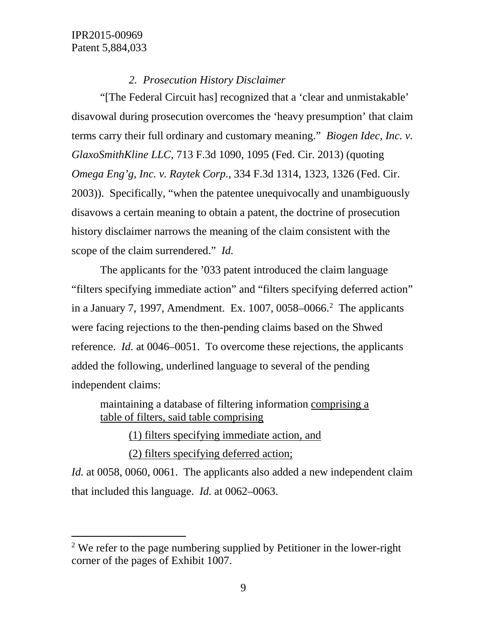# *2. Prosecution History Disclaimer*

"[The Federal Circuit has] recognized that a 'clear and unmistakable' disavowal during prosecution overcomes the 'heavy presumption' that claim terms carry their full ordinary and customary meaning." *Biogen Idec, Inc. v. GlaxoSmithKline LLC*, 713 F.3d 1090, 1095 (Fed. Cir. 2013) (quoting *Omega Eng'g, Inc. v. Raytek Corp.*, 334 F.3d 1314, 1323, 1326 (Fed. Cir. 2003)). Specifically, "when the patentee unequivocally and unambiguously disavows a certain meaning to obtain a patent, the doctrine of prosecution history disclaimer narrows the meaning of the claim consistent with the scope of the claim surrendered." *Id.*

The applicants for the '033 patent introduced the claim language "filters specifying immediate action" and "filters specifying deferred action" in a January 7, 1997, Amendment. Ex.  $1007, 0058 - 0066$ <sup>2</sup> The applicants were facing rejections to the then-pending claims based on the Shwed reference. *Id.* at 0046–0051. To overcome these rejections, the applicants added the following, underlined language to several of the pending independent claims:

maintaining a database of filtering information comprising a table of filters, said table comprising

(1) filters specifying immediate action, and

(2) filters specifying deferred action;

*Id.* at 0058, 0060, 0061. The applicants also added a new independent claim that included this language. *Id.* at 0062–0063.

<span id="page-8-0"></span><sup>&</sup>lt;sup>2</sup> We refer to the page numbering supplied by Petitioner in the lower-right corner of the pages of Exhibit 1007.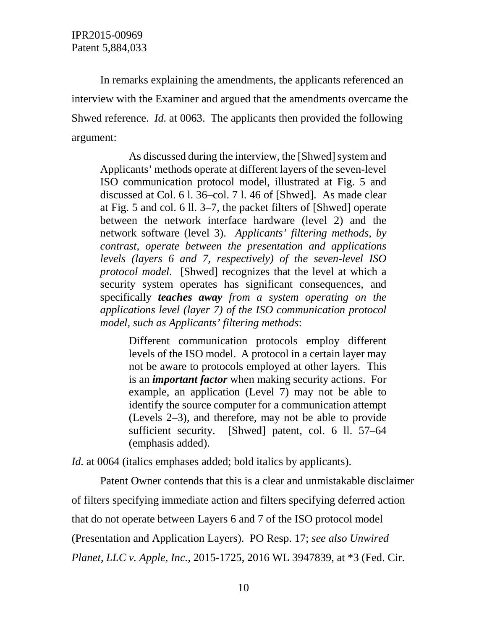In remarks explaining the amendments, the applicants referenced an interview with the Examiner and argued that the amendments overcame the Shwed reference. *Id.* at 0063. The applicants then provided the following argument:

As discussed during the interview, the [Shwed] system and Applicants' methods operate at different layers of the seven-level ISO communication protocol model, illustrated at Fig. 5 and discussed at Col. 6 l. 36–col. 7 l. 46 of [Shwed]. As made clear at Fig. 5 and col. 6 ll. 3–7, the packet filters of [Shwed] operate between the network interface hardware (level 2) and the network software (level 3). *Applicants' filtering methods, by contrast, operate between the presentation and applications levels (layers 6 and 7, respectively) of the seven-level ISO protocol model*. [Shwed] recognizes that the level at which a security system operates has significant consequences, and specifically *teaches away from a system operating on the applications level (layer 7) of the ISO communication protocol model, such as Applicants' filtering methods*:

Different communication protocols employ different levels of the ISO model. A protocol in a certain layer may not be aware to protocols employed at other layers. This is an *important factor* when making security actions. For example, an application (Level 7) may not be able to identify the source computer for a communication attempt (Levels 2–3), and therefore, may not be able to provide sufficient security. [Shwed] patent, col. 6 ll. 57–64 (emphasis added).

*Id.* at 0064 (italics emphases added; bold italics by applicants).

Patent Owner contends that this is a clear and unmistakable disclaimer of filters specifying immediate action and filters specifying deferred action that do not operate between Layers 6 and 7 of the ISO protocol model (Presentation and Application Layers). PO Resp. 17; *see also Unwired Planet, LLC v. Apple, Inc.*, 2015-1725, 2016 WL 3947839, at \*3 (Fed. Cir.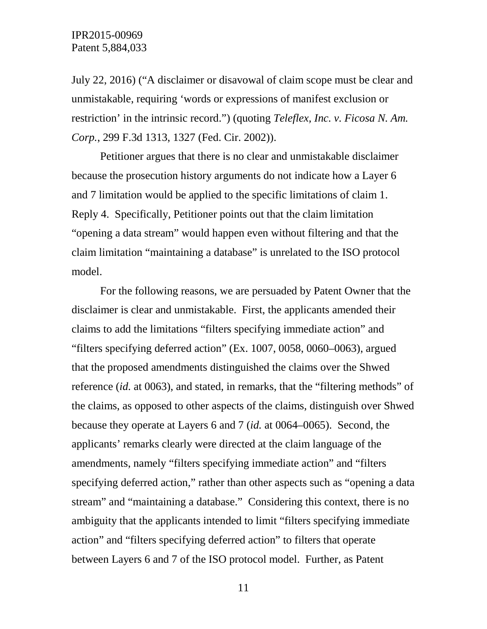July 22, 2016) ("A disclaimer or disavowal of claim scope must be clear and unmistakable, requiring 'words or expressions of manifest exclusion or restriction' in the intrinsic record.") (quoting *Teleflex, Inc. v. Ficosa N. Am. Corp.*, 299 F.3d 1313, 1327 (Fed. Cir. 2002)).

Petitioner argues that there is no clear and unmistakable disclaimer because the prosecution history arguments do not indicate how a Layer 6 and 7 limitation would be applied to the specific limitations of claim 1. Reply 4. Specifically, Petitioner points out that the claim limitation "opening a data stream" would happen even without filtering and that the claim limitation "maintaining a database" is unrelated to the ISO protocol model.

For the following reasons, we are persuaded by Patent Owner that the disclaimer is clear and unmistakable. First, the applicants amended their claims to add the limitations "filters specifying immediate action" and "filters specifying deferred action" (Ex. 1007, 0058, 0060–0063), argued that the proposed amendments distinguished the claims over the Shwed reference (*id.* at 0063), and stated, in remarks, that the "filtering methods" of the claims, as opposed to other aspects of the claims, distinguish over Shwed because they operate at Layers 6 and 7 (*id.* at 0064–0065). Second, the applicants' remarks clearly were directed at the claim language of the amendments, namely "filters specifying immediate action" and "filters specifying deferred action," rather than other aspects such as "opening a data stream" and "maintaining a database." Considering this context, there is no ambiguity that the applicants intended to limit "filters specifying immediate action" and "filters specifying deferred action" to filters that operate between Layers 6 and 7 of the ISO protocol model. Further, as Patent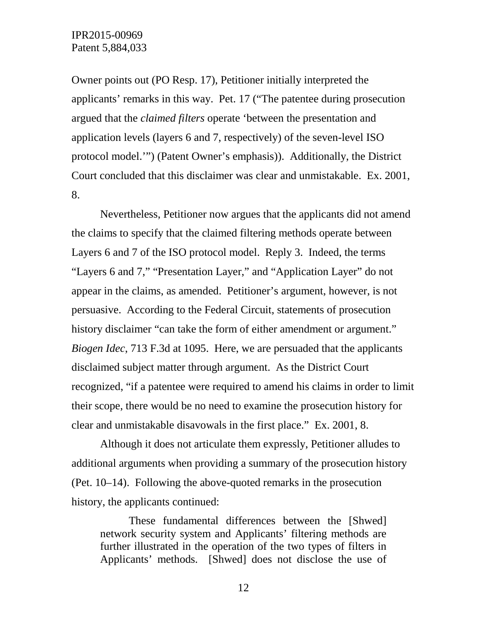Owner points out (PO Resp. 17), Petitioner initially interpreted the applicants' remarks in this way. Pet. 17 ("The patentee during prosecution argued that the *claimed filters* operate 'between the presentation and application levels (layers 6 and 7, respectively) of the seven-level ISO protocol model.'") (Patent Owner's emphasis)). Additionally, the District Court concluded that this disclaimer was clear and unmistakable. Ex. 2001, 8.

Nevertheless, Petitioner now argues that the applicants did not amend the claims to specify that the claimed filtering methods operate between Layers 6 and 7 of the ISO protocol model. Reply 3. Indeed, the terms "Layers 6 and 7," "Presentation Layer," and "Application Layer" do not appear in the claims, as amended. Petitioner's argument, however, is not persuasive. According to the Federal Circuit, statements of prosecution history disclaimer "can take the form of either amendment or argument." *Biogen Idec*, 713 F.3d at 1095. Here, we are persuaded that the applicants disclaimed subject matter through argument. As the District Court recognized, "if a patentee were required to amend his claims in order to limit their scope, there would be no need to examine the prosecution history for clear and unmistakable disavowals in the first place." Ex. 2001, 8.

Although it does not articulate them expressly, Petitioner alludes to additional arguments when providing a summary of the prosecution history (Pet. 10–14). Following the above-quoted remarks in the prosecution history, the applicants continued:

These fundamental differences between the [Shwed] network security system and Applicants' filtering methods are further illustrated in the operation of the two types of filters in Applicants' methods. [Shwed] does not disclose the use of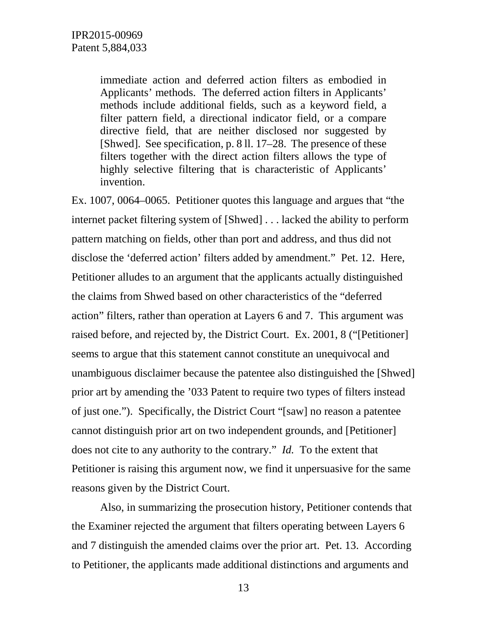immediate action and deferred action filters as embodied in Applicants' methods. The deferred action filters in Applicants' methods include additional fields, such as a keyword field, a filter pattern field, a directional indicator field, or a compare directive field, that are neither disclosed nor suggested by [Shwed]. See specification, p. 8 ll. 17–28. The presence of these filters together with the direct action filters allows the type of highly selective filtering that is characteristic of Applicants' invention.

Ex. 1007, 0064–0065. Petitioner quotes this language and argues that "the internet packet filtering system of [Shwed] . . . lacked the ability to perform pattern matching on fields, other than port and address, and thus did not disclose the 'deferred action' filters added by amendment." Pet. 12. Here, Petitioner alludes to an argument that the applicants actually distinguished the claims from Shwed based on other characteristics of the "deferred action" filters, rather than operation at Layers 6 and 7. This argument was raised before, and rejected by, the District Court. Ex. 2001, 8 ("[Petitioner] seems to argue that this statement cannot constitute an unequivocal and unambiguous disclaimer because the patentee also distinguished the [Shwed] prior art by amending the '033 Patent to require two types of filters instead of just one."). Specifically, the District Court "[saw] no reason a patentee cannot distinguish prior art on two independent grounds, and [Petitioner] does not cite to any authority to the contrary." *Id.* To the extent that Petitioner is raising this argument now, we find it unpersuasive for the same reasons given by the District Court.

Also, in summarizing the prosecution history, Petitioner contends that the Examiner rejected the argument that filters operating between Layers 6 and 7 distinguish the amended claims over the prior art. Pet. 13. According to Petitioner, the applicants made additional distinctions and arguments and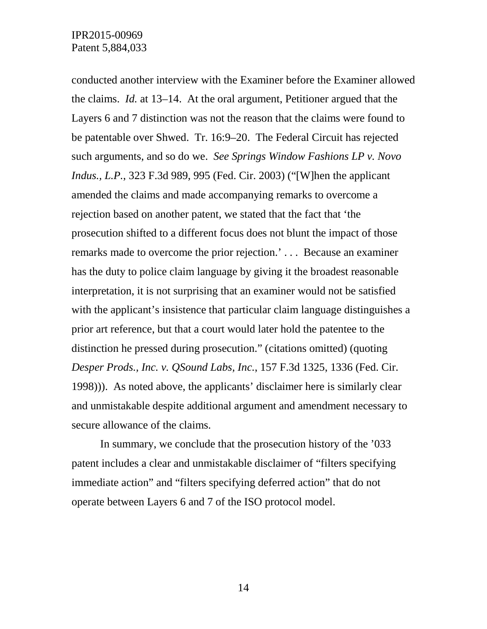conducted another interview with the Examiner before the Examiner allowed the claims. *Id.* at 13–14. At the oral argument, Petitioner argued that the Layers 6 and 7 distinction was not the reason that the claims were found to be patentable over Shwed. Tr. 16:9–20. The Federal Circuit has rejected such arguments, and so do we. *See Springs Window Fashions LP v. Novo Indus., L.P.*, 323 F.3d 989, 995 (Fed. Cir. 2003) ("[W]hen the applicant amended the claims and made accompanying remarks to overcome a rejection based on another patent, we stated that the fact that 'the prosecution shifted to a different focus does not blunt the impact of those remarks made to overcome the prior rejection.' . . . Because an examiner has the duty to police claim language by giving it the broadest reasonable interpretation, it is not surprising that an examiner would not be satisfied with the applicant's insistence that particular claim language distinguishes a prior art reference, but that a court would later hold the patentee to the distinction he pressed during prosecution." (citations omitted) (quoting *Desper Prods., Inc. v. QSound Labs, Inc.*, 157 F.3d 1325, 1336 (Fed. Cir. 1998))). As noted above, the applicants' disclaimer here is similarly clear and unmistakable despite additional argument and amendment necessary to secure allowance of the claims.

In summary, we conclude that the prosecution history of the '033 patent includes a clear and unmistakable disclaimer of "filters specifying immediate action" and "filters specifying deferred action" that do not operate between Layers 6 and 7 of the ISO protocol model.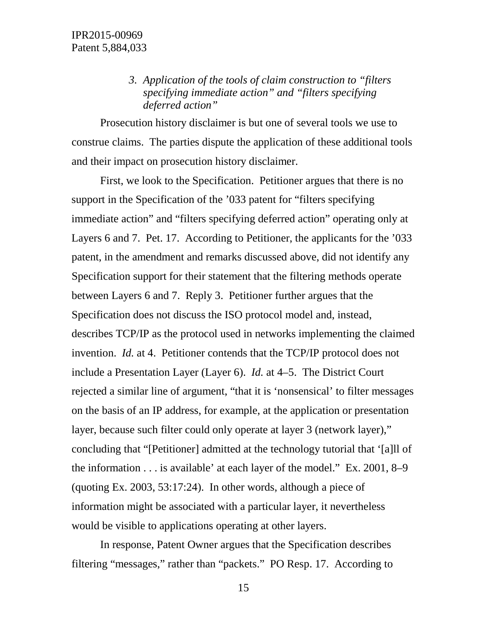*3. Application of the tools of claim construction to "filters specifying immediate action" and "filters specifying deferred action"*

Prosecution history disclaimer is but one of several tools we use to construe claims. The parties dispute the application of these additional tools and their impact on prosecution history disclaimer.

First, we look to the Specification. Petitioner argues that there is no support in the Specification of the '033 patent for "filters specifying immediate action" and "filters specifying deferred action" operating only at Layers 6 and 7. Pet. 17. According to Petitioner, the applicants for the '033 patent, in the amendment and remarks discussed above, did not identify any Specification support for their statement that the filtering methods operate between Layers 6 and 7. Reply 3. Petitioner further argues that the Specification does not discuss the ISO protocol model and, instead, describes TCP/IP as the protocol used in networks implementing the claimed invention. *Id.* at 4. Petitioner contends that the TCP/IP protocol does not include a Presentation Layer (Layer 6). *Id.* at 4–5. The District Court rejected a similar line of argument, "that it is 'nonsensical' to filter messages on the basis of an IP address, for example, at the application or presentation layer, because such filter could only operate at layer 3 (network layer)," concluding that "[Petitioner] admitted at the technology tutorial that '[a]ll of the information . . . is available' at each layer of the model." Ex. 2001, 8–9 (quoting Ex. 2003, 53:17:24). In other words, although a piece of information might be associated with a particular layer, it nevertheless would be visible to applications operating at other layers.

In response, Patent Owner argues that the Specification describes filtering "messages," rather than "packets." PO Resp. 17. According to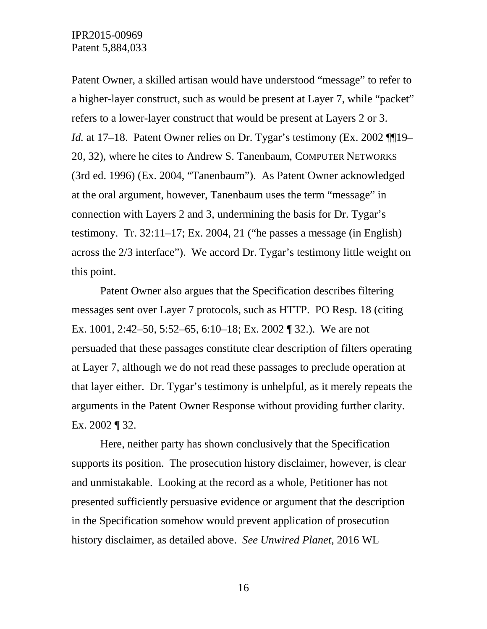Patent Owner, a skilled artisan would have understood "message" to refer to a higher-layer construct, such as would be present at Layer 7, while "packet" refers to a lower-layer construct that would be present at Layers 2 or 3. *Id.* at 17–18. Patent Owner relies on Dr. Tygar's testimony (Ex. 2002 ¶ 19– 20, 32), where he cites to Andrew S. Tanenbaum, COMPUTER NETWORKS (3rd ed. 1996) (Ex. 2004, "Tanenbaum"). As Patent Owner acknowledged at the oral argument, however, Tanenbaum uses the term "message" in connection with Layers 2 and 3, undermining the basis for Dr. Tygar's testimony. Tr. 32:11–17; Ex. 2004, 21 ("he passes a message (in English) across the 2/3 interface"). We accord Dr. Tygar's testimony little weight on this point.

Patent Owner also argues that the Specification describes filtering messages sent over Layer 7 protocols, such as HTTP. PO Resp. 18 (citing Ex. 1001, 2:42–50, 5:52–65, 6:10–18; Ex. 2002 ¶ 32.). We are not persuaded that these passages constitute clear description of filters operating at Layer 7, although we do not read these passages to preclude operation at that layer either. Dr. Tygar's testimony is unhelpful, as it merely repeats the arguments in the Patent Owner Response without providing further clarity. Ex. 2002 ¶ 32.

Here, neither party has shown conclusively that the Specification supports its position. The prosecution history disclaimer, however, is clear and unmistakable. Looking at the record as a whole, Petitioner has not presented sufficiently persuasive evidence or argument that the description in the Specification somehow would prevent application of prosecution history disclaimer, as detailed above. *See Unwired Planet*, 2016 WL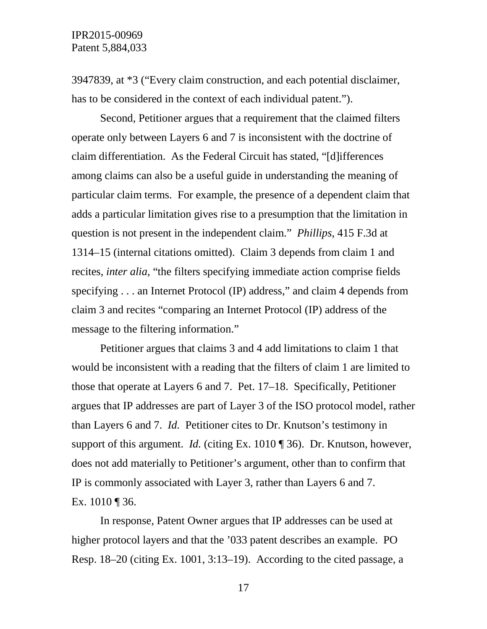3947839, at \*3 ("Every claim construction, and each potential disclaimer, has to be considered in the context of each individual patent.").

Second, Petitioner argues that a requirement that the claimed filters operate only between Layers 6 and 7 is inconsistent with the doctrine of claim differentiation. As the Federal Circuit has stated, "[d]ifferences among claims can also be a useful guide in understanding the meaning of particular claim terms. For example, the presence of a dependent claim that adds a particular limitation gives rise to a presumption that the limitation in question is not present in the independent claim." *Phillips*, 415 F.3d at 1314–15 (internal citations omitted). Claim 3 depends from claim 1 and recites, *inter alia*, "the filters specifying immediate action comprise fields specifying . . . an Internet Protocol (IP) address," and claim 4 depends from claim 3 and recites "comparing an Internet Protocol (IP) address of the message to the filtering information."

Petitioner argues that claims 3 and 4 add limitations to claim 1 that would be inconsistent with a reading that the filters of claim 1 are limited to those that operate at Layers 6 and 7. Pet. 17–18. Specifically, Petitioner argues that IP addresses are part of Layer 3 of the ISO protocol model, rather than Layers 6 and 7. *Id.* Petitioner cites to Dr. Knutson's testimony in support of this argument. *Id.* (citing Ex. 1010 ¶ 36). Dr. Knutson, however, does not add materially to Petitioner's argument, other than to confirm that IP is commonly associated with Layer 3, rather than Layers 6 and 7. Ex. 1010 ¶ 36.

In response, Patent Owner argues that IP addresses can be used at higher protocol layers and that the '033 patent describes an example. PO Resp. 18–20 (citing Ex. 1001, 3:13–19). According to the cited passage, a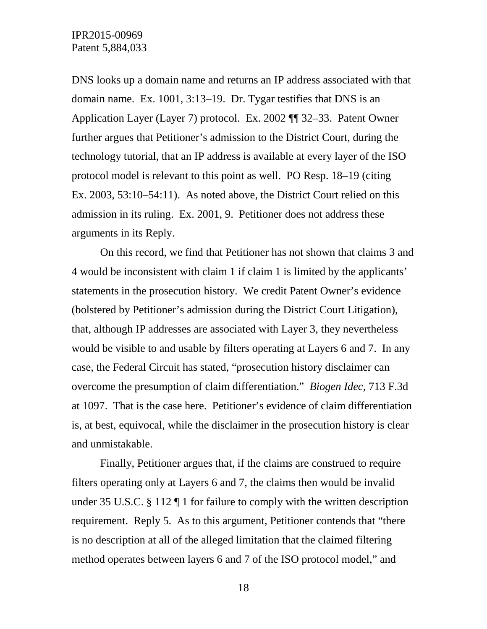DNS looks up a domain name and returns an IP address associated with that domain name. Ex. 1001, 3:13–19. Dr. Tygar testifies that DNS is an Application Layer (Layer 7) protocol. Ex. 2002 ¶¶ 32–33. Patent Owner further argues that Petitioner's admission to the District Court, during the technology tutorial, that an IP address is available at every layer of the ISO protocol model is relevant to this point as well. PO Resp. 18–19 (citing Ex. 2003, 53:10–54:11). As noted above, the District Court relied on this admission in its ruling. Ex. 2001, 9. Petitioner does not address these arguments in its Reply.

On this record, we find that Petitioner has not shown that claims 3 and 4 would be inconsistent with claim 1 if claim 1 is limited by the applicants' statements in the prosecution history. We credit Patent Owner's evidence (bolstered by Petitioner's admission during the District Court Litigation), that, although IP addresses are associated with Layer 3, they nevertheless would be visible to and usable by filters operating at Layers 6 and 7. In any case, the Federal Circuit has stated, "prosecution history disclaimer can overcome the presumption of claim differentiation." *Biogen Idec*, 713 F.3d at 1097. That is the case here. Petitioner's evidence of claim differentiation is, at best, equivocal, while the disclaimer in the prosecution history is clear and unmistakable.

Finally, Petitioner argues that, if the claims are construed to require filters operating only at Layers 6 and 7, the claims then would be invalid under 35 U.S.C. § 112 ¶ 1 for failure to comply with the written description requirement. Reply 5. As to this argument, Petitioner contends that "there is no description at all of the alleged limitation that the claimed filtering method operates between layers 6 and 7 of the ISO protocol model," and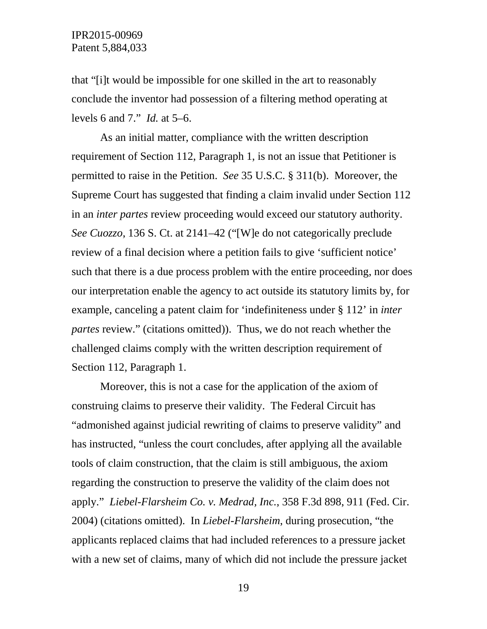that "[i]t would be impossible for one skilled in the art to reasonably conclude the inventor had possession of a filtering method operating at levels 6 and 7." *Id.* at 5–6.

As an initial matter, compliance with the written description requirement of Section 112, Paragraph 1, is not an issue that Petitioner is permitted to raise in the Petition. *See* 35 U.S.C. § 311(b). Moreover, the Supreme Court has suggested that finding a claim invalid under Section 112 in an *inter partes* review proceeding would exceed our statutory authority. *See Cuozzo*, 136 S. Ct. at 2141–42 ("[W]e do not categorically preclude review of a final decision where a petition fails to give 'sufficient notice' such that there is a due process problem with the entire proceeding, nor does our interpretation enable the agency to act outside its statutory limits by, for example, canceling a patent claim for 'indefiniteness under § 112' in *inter partes* review." (citations omitted)). Thus, we do not reach whether the challenged claims comply with the written description requirement of Section 112, Paragraph 1.

Moreover, this is not a case for the application of the axiom of construing claims to preserve their validity. The Federal Circuit has "admonished against judicial rewriting of claims to preserve validity" and has instructed, "unless the court concludes, after applying all the available tools of claim construction, that the claim is still ambiguous, the axiom regarding the construction to preserve the validity of the claim does not apply." *Liebel-Flarsheim Co. v. Medrad, Inc.*, 358 F.3d 898, 911 (Fed. Cir. 2004) (citations omitted). In *Liebel-Flarsheim*, during prosecution, "the applicants replaced claims that had included references to a pressure jacket with a new set of claims, many of which did not include the pressure jacket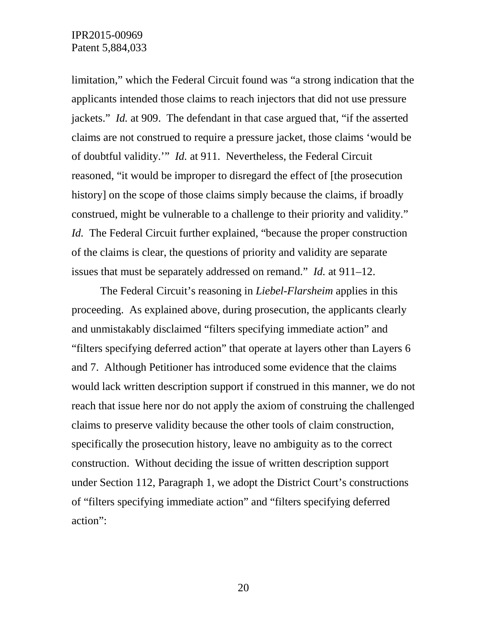limitation," which the Federal Circuit found was "a strong indication that the applicants intended those claims to reach injectors that did not use pressure jackets." *Id.* at 909. The defendant in that case argued that, "if the asserted claims are not construed to require a pressure jacket, those claims 'would be of doubtful validity.'" *Id.* at 911. Nevertheless, the Federal Circuit reasoned, "it would be improper to disregard the effect of [the prosecution history] on the scope of those claims simply because the claims, if broadly construed, might be vulnerable to a challenge to their priority and validity." *Id.* The Federal Circuit further explained, "because the proper construction of the claims is clear, the questions of priority and validity are separate issues that must be separately addressed on remand." *Id.* at 911–12.

The Federal Circuit's reasoning in *Liebel-Flarsheim* applies in this proceeding. As explained above, during prosecution, the applicants clearly and unmistakably disclaimed "filters specifying immediate action" and "filters specifying deferred action" that operate at layers other than Layers 6 and 7. Although Petitioner has introduced some evidence that the claims would lack written description support if construed in this manner, we do not reach that issue here nor do not apply the axiom of construing the challenged claims to preserve validity because the other tools of claim construction, specifically the prosecution history, leave no ambiguity as to the correct construction. Without deciding the issue of written description support under Section 112, Paragraph 1, we adopt the District Court's constructions of "filters specifying immediate action" and "filters specifying deferred action":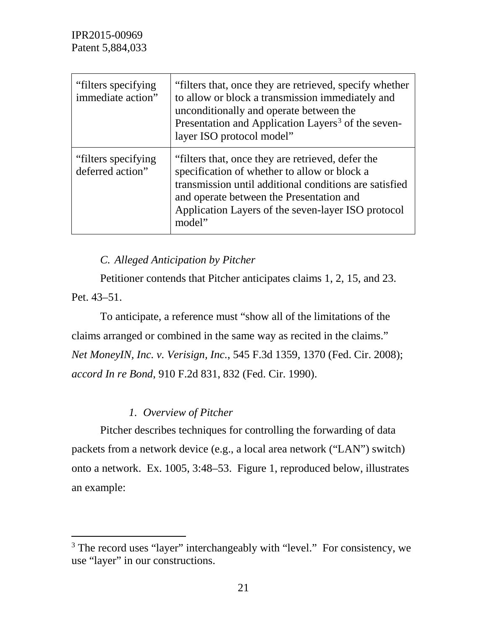| "filters specifying"<br>immediate action" | "filters that, once they are retrieved, specify whether<br>to allow or block a transmission immediately and<br>unconditionally and operate between the<br>Presentation and Application Layers <sup>3</sup> of the seven-<br>layer ISO protocol model"                   |
|-------------------------------------------|-------------------------------------------------------------------------------------------------------------------------------------------------------------------------------------------------------------------------------------------------------------------------|
| "filters specifying"<br>deferred action"  | "filters that, once they are retrieved, defer the<br>specification of whether to allow or block a<br>transmission until additional conditions are satisfied<br>and operate between the Presentation and<br>Application Layers of the seven-layer ISO protocol<br>model" |

*C. Alleged Anticipation by Pitcher*

Petitioner contends that Pitcher anticipates claims 1, 2, 15, and 23. Pet. 43–51.

To anticipate, a reference must "show all of the limitations of the claims arranged or combined in the same way as recited in the claims." *Net MoneyIN, Inc. v. Verisign, Inc.*, 545 F.3d 1359, 1370 (Fed. Cir. 2008); *accord In re Bond*, 910 F.2d 831, 832 (Fed. Cir. 1990).

# *1. Overview of Pitcher*

Pitcher describes techniques for controlling the forwarding of data packets from a network device (e.g., a local area network ("LAN") switch) onto a network. Ex. 1005, 3:48–53. Figure 1, reproduced below, illustrates an example:

<span id="page-20-0"></span><sup>&</sup>lt;sup>3</sup> The record uses "layer" interchangeably with "level." For consistency, we use "layer" in our constructions.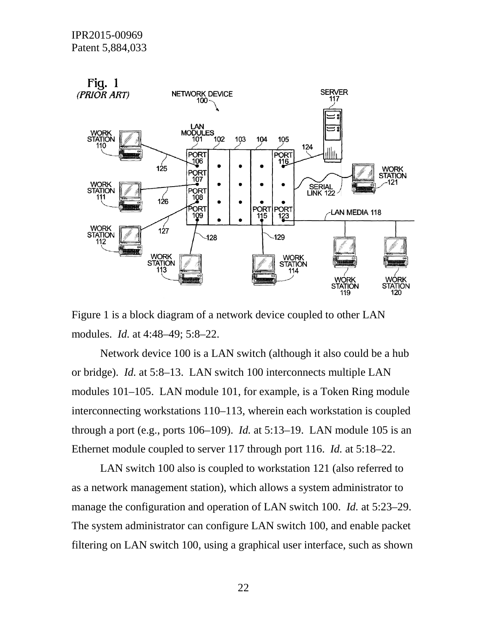

Figure 1 is a block diagram of a network device coupled to other LAN modules. *Id.* at 4:48–49; 5:8–22.

Network device 100 is a LAN switch (although it also could be a hub or bridge). *Id.* at 5:8–13. LAN switch 100 interconnects multiple LAN modules 101–105. LAN module 101, for example, is a Token Ring module interconnecting workstations 110–113, wherein each workstation is coupled through a port (e.g., ports 106–109). *Id.* at 5:13–19. LAN module 105 is an Ethernet module coupled to server 117 through port 116. *Id.* at 5:18–22.

LAN switch 100 also is coupled to workstation 121 (also referred to as a network management station), which allows a system administrator to manage the configuration and operation of LAN switch 100. *Id.* at 5:23–29. The system administrator can configure LAN switch 100, and enable packet filtering on LAN switch 100, using a graphical user interface, such as shown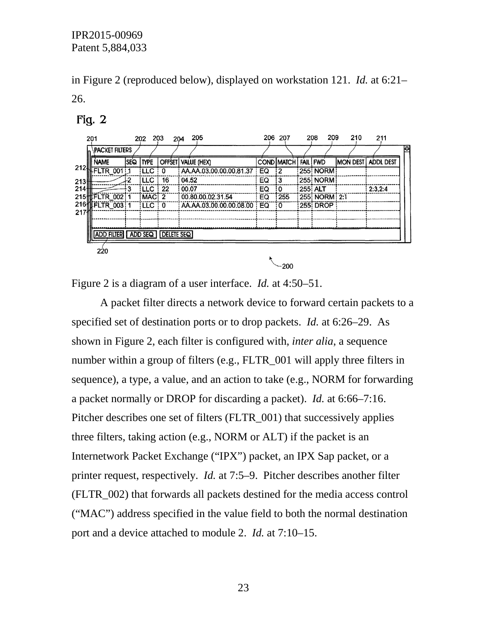in Figure 2 (reproduced below), displayed on workstation 121. *Id.* at 6:21– 26.

#### $Fig. 2$

|      | 201 |                   |            | 202         | 203               | 205<br>204                 |    | 206 207           | 208         | 209           | 210             | 211              |   |
|------|-----|-------------------|------------|-------------|-------------------|----------------------------|----|-------------------|-------------|---------------|-----------------|------------------|---|
|      |     | PACKET FILTERS    |            |             |                   |                            |    |                   |             |               |                 |                  | Ю |
|      |     | <b>NAME</b>       | <b>SEQ</b> | <b>TYPE</b> | <b>OFFSET</b>     | VALUE (HEX)                |    | <b>COND MATCH</b> | <b>FAIL</b> | <b>FWD</b>    | <b>MON DEST</b> | <b>ADDL DEST</b> |   |
| 2124 |     | FLTR 001          |            | i LLC       | 0                 | AA.AA.03.00.00.00.81.37    | EQ | ÷2                |             | 255 NORM      |                 |                  |   |
| 213H |     |                   | 1.2        | i LLC       | 16                | 04.52                      | EQ | :3                |             |               |                 |                  |   |
| 214\ |     |                   | ٩          | iLLC        | 22                | 00.07                      | EQ | 0                 | 255 ALT     |               |                 | 2:3.2:4          |   |
|      |     | 215 FLTR_002:1    |            | MAC: 2      |                   | 00.80.00.02.31.54          | EQ | 255               |             | 255 NORM 2:1  |                 |                  |   |
|      |     | 216 FLTR 003 1    |            | $ LLC $ 0   |                   | AA.AA.03.00.00.00.08.00 EQ |    | ÷0                |             | : 255: DROP : |                 |                  |   |
| 217M |     |                   |            |             |                   |                            |    |                   |             |               |                 |                  |   |
|      |     |                   |            |             |                   |                            |    |                   |             |               |                 |                  |   |
|      |     | <b>ADD FILTER</b> |            | ADD SEQ     | <b>DELETE SEQ</b> |                            |    |                   |             |               |                 |                  |   |
|      |     |                   |            |             |                   |                            |    |                   |             |               |                 |                  |   |
|      |     | 220               |            |             |                   |                            |    |                   |             |               |                 |                  |   |
|      |     |                   |            |             |                   |                            |    |                   |             |               |                 |                  |   |

 $-200$ 

Figure 2 is a diagram of a user interface. *Id.* at 4:50–51.

A packet filter directs a network device to forward certain packets to a specified set of destination ports or to drop packets. *Id.* at 6:26–29. As shown in Figure 2, each filter is configured with, *inter alia*, a sequence number within a group of filters (e.g., FLTR\_001 will apply three filters in sequence), a type, a value, and an action to take (e.g., NORM for forwarding a packet normally or DROP for discarding a packet). *Id.* at 6:66–7:16. Pitcher describes one set of filters (FLTR\_001) that successively applies three filters, taking action (e.g., NORM or ALT) if the packet is an Internetwork Packet Exchange ("IPX") packet, an IPX Sap packet, or a printer request, respectively. *Id.* at 7:5–9. Pitcher describes another filter (FLTR\_002) that forwards all packets destined for the media access control ("MAC") address specified in the value field to both the normal destination port and a device attached to module 2. *Id.* at 7:10–15.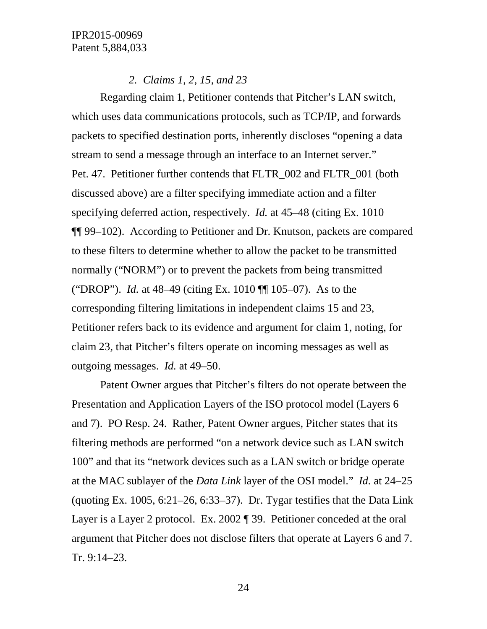# *2. Claims 1, 2, 15, and 23*

Regarding claim 1, Petitioner contends that Pitcher's LAN switch, which uses data communications protocols, such as TCP/IP, and forwards packets to specified destination ports, inherently discloses "opening a data stream to send a message through an interface to an Internet server." Pet. 47. Petitioner further contends that FLTR\_002 and FLTR\_001 (both discussed above) are a filter specifying immediate action and a filter specifying deferred action, respectively. *Id.* at 45–48 (citing Ex. 1010 ¶¶ 99–102). According to Petitioner and Dr. Knutson, packets are compared to these filters to determine whether to allow the packet to be transmitted normally ("NORM") or to prevent the packets from being transmitted ("DROP"). *Id.* at 48–49 (citing Ex. 1010 ¶¶ 105–07). As to the corresponding filtering limitations in independent claims 15 and 23, Petitioner refers back to its evidence and argument for claim 1, noting, for claim 23, that Pitcher's filters operate on incoming messages as well as outgoing messages. *Id.* at 49–50.

Patent Owner argues that Pitcher's filters do not operate between the Presentation and Application Layers of the ISO protocol model (Layers 6 and 7). PO Resp. 24. Rather, Patent Owner argues, Pitcher states that its filtering methods are performed "on a network device such as LAN switch 100" and that its "network devices such as a LAN switch or bridge operate at the MAC sublayer of the *Data Link* layer of the OSI model." *Id.* at 24–25 (quoting Ex. 1005, 6:21–26, 6:33–37). Dr. Tygar testifies that the Data Link Layer is a Layer 2 protocol. Ex. 2002 ¶ 39. Petitioner conceded at the oral argument that Pitcher does not disclose filters that operate at Layers 6 and 7. Tr. 9:14–23.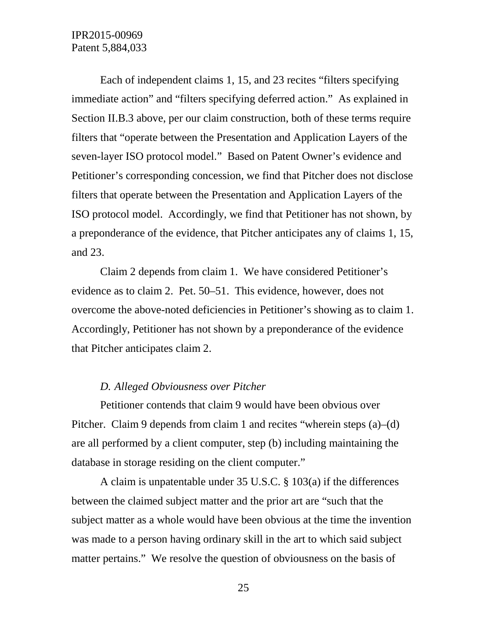Each of independent claims 1, 15, and 23 recites "filters specifying immediate action" and "filters specifying deferred action." As explained in Section II.B.3 above, per our claim construction, both of these terms require filters that "operate between the Presentation and Application Layers of the seven-layer ISO protocol model." Based on Patent Owner's evidence and Petitioner's corresponding concession, we find that Pitcher does not disclose filters that operate between the Presentation and Application Layers of the ISO protocol model. Accordingly, we find that Petitioner has not shown, by a preponderance of the evidence, that Pitcher anticipates any of claims 1, 15, and 23.

Claim 2 depends from claim 1. We have considered Petitioner's evidence as to claim 2. Pet. 50–51. This evidence, however, does not overcome the above-noted deficiencies in Petitioner's showing as to claim 1. Accordingly, Petitioner has not shown by a preponderance of the evidence that Pitcher anticipates claim 2.

### *D. Alleged Obviousness over Pitcher*

Petitioner contends that claim 9 would have been obvious over Pitcher. Claim 9 depends from claim 1 and recites "wherein steps (a)–(d) are all performed by a client computer, step (b) including maintaining the database in storage residing on the client computer."

A claim is unpatentable under 35 U.S.C. § 103(a) if the differences between the claimed subject matter and the prior art are "such that the subject matter as a whole would have been obvious at the time the invention was made to a person having ordinary skill in the art to which said subject matter pertains." We resolve the question of obviousness on the basis of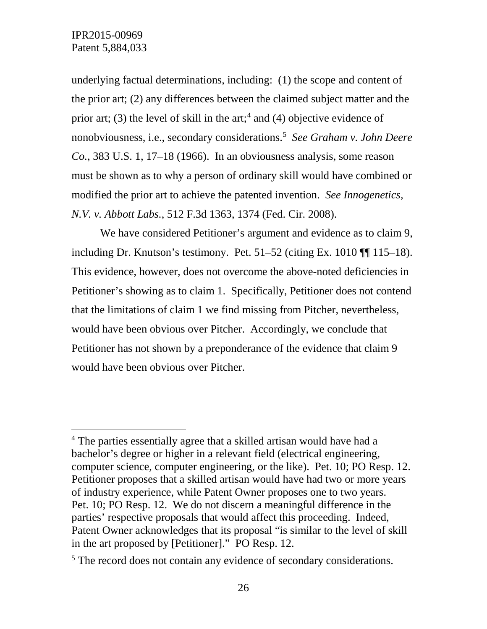underlying factual determinations, including: (1) the scope and content of the prior art; (2) any differences between the claimed subject matter and the prior art; (3) the level of skill in the art;<sup>[4](#page-25-0)</sup> and (4) objective evidence of nonobviousness, i.e., secondary considerations.[5](#page-25-1) *See Graham v. John Deere Co.*, 383 U.S. 1, 17–18 (1966). In an obviousness analysis, some reason must be shown as to why a person of ordinary skill would have combined or modified the prior art to achieve the patented invention. *See Innogenetics, N.V. v. Abbott Labs.*, 512 F.3d 1363, 1374 (Fed. Cir. 2008).

We have considered Petitioner's argument and evidence as to claim 9, including Dr. Knutson's testimony. Pet. 51–52 (citing Ex. 1010 ¶¶ 115–18). This evidence, however, does not overcome the above-noted deficiencies in Petitioner's showing as to claim 1. Specifically, Petitioner does not contend that the limitations of claim 1 we find missing from Pitcher, nevertheless, would have been obvious over Pitcher. Accordingly, we conclude that Petitioner has not shown by a preponderance of the evidence that claim 9 would have been obvious over Pitcher.

<span id="page-25-0"></span> <sup>4</sup> The parties essentially agree that a skilled artisan would have had a bachelor's degree or higher in a relevant field (electrical engineering, computer science, computer engineering, or the like). Pet. 10; PO Resp. 12. Petitioner proposes that a skilled artisan would have had two or more years of industry experience, while Patent Owner proposes one to two years. Pet. 10; PO Resp. 12. We do not discern a meaningful difference in the parties' respective proposals that would affect this proceeding. Indeed, Patent Owner acknowledges that its proposal "is similar to the level of skill in the art proposed by [Petitioner]." PO Resp. 12.

<span id="page-25-1"></span><sup>&</sup>lt;sup>5</sup> The record does not contain any evidence of secondary considerations.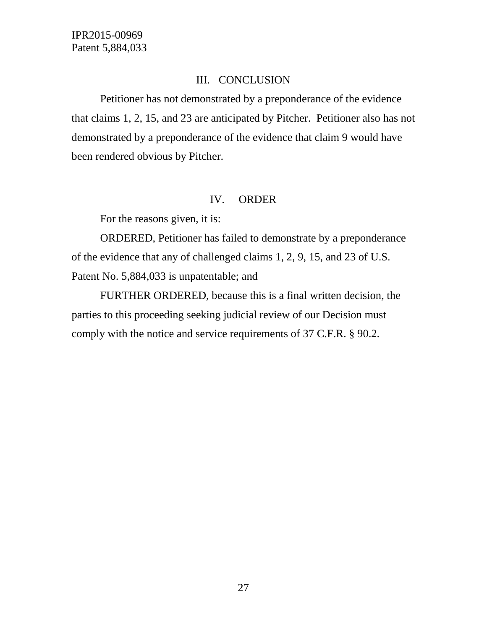### III. CONCLUSION

Petitioner has not demonstrated by a preponderance of the evidence that claims 1, 2, 15, and 23 are anticipated by Pitcher. Petitioner also has not demonstrated by a preponderance of the evidence that claim 9 would have been rendered obvious by Pitcher.

#### IV. ORDER

For the reasons given, it is:

ORDERED, Petitioner has failed to demonstrate by a preponderance of the evidence that any of challenged claims 1, 2, 9, 15, and 23 of U.S. Patent No. 5,884,033 is unpatentable; and

FURTHER ORDERED, because this is a final written decision, the parties to this proceeding seeking judicial review of our Decision must comply with the notice and service requirements of 37 C.F.R. § 90.2.